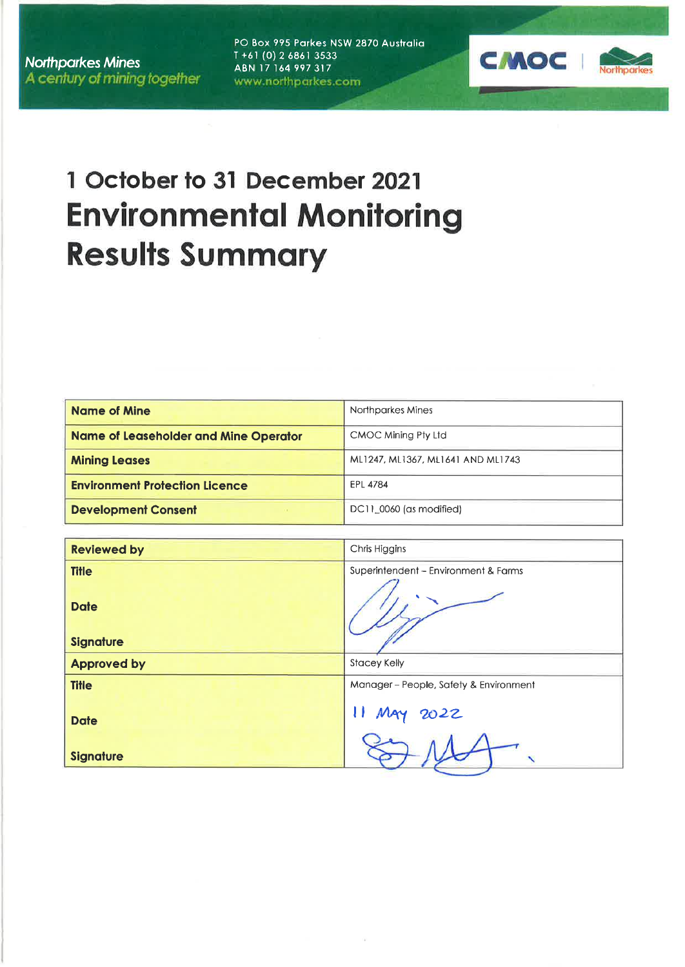**Northparkes Mines** A century of mining together PO Box 995 Parkes NSW 2870 Australia  $T + 61(0) 2 6861 3533$ ABN 17 164 997 317 www.northparkes.com



# 1 October to 31 December 2021 **Environmental Monitoring Results Summary**

| <b>Name of Mine</b>                   | Northparkes Mines                 |
|---------------------------------------|-----------------------------------|
| Name of Leaseholder and Mine Operator | CMOC Mining Pty Ltd               |
| <b>Mining Leases</b>                  | ML1247, ML1367, ML1641 AND ML1743 |
| <b>Environment Protection Licence</b> | EPL 4784                          |
| <b>Development Consent</b>            | DC11, 0060 (as modified)          |

| <b>Reviewed by</b>                              | Chris Higgins                          |
|-------------------------------------------------|----------------------------------------|
| <b>Title</b><br><b>Date</b><br><b>Signature</b> | Superintendent - Environment & Farms   |
| <b>Approved by</b>                              | <b>Stacey Kelly</b>                    |
| <b>Title</b>                                    | Manager - People, Safety & Environment |
| <b>Date</b>                                     | MAY 2022                               |
| <b>Signature</b>                                |                                        |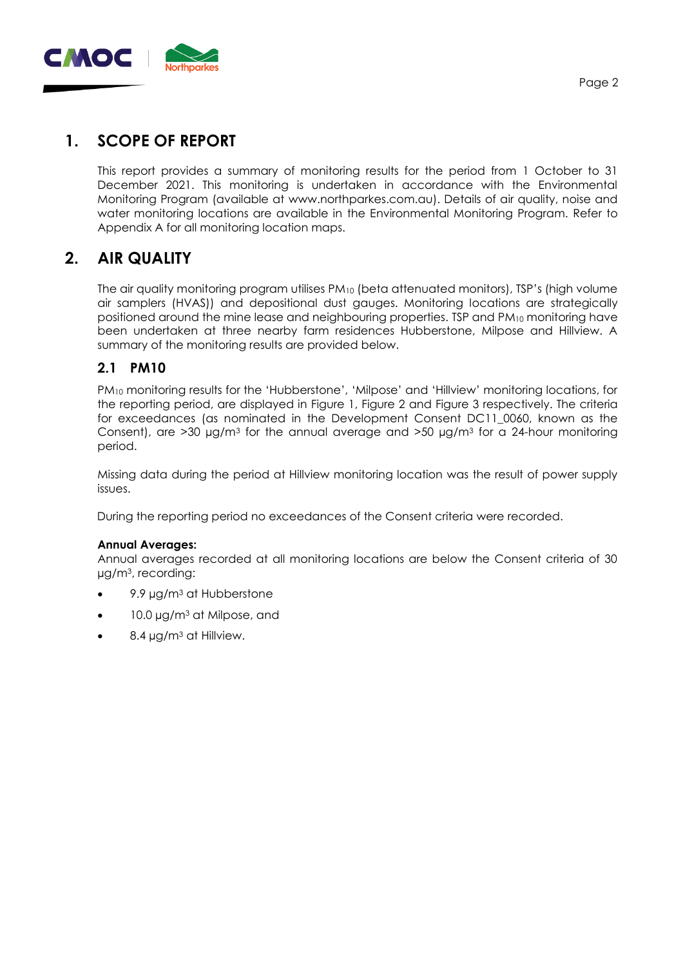

# **1. SCOPE OF REPORT**

This report provides a summary of monitoring results for the period from 1 October to 31 December 2021. This monitoring is undertaken in accordance with the Environmental Monitoring Program (available at [www.northparkes.com.au\)](http://www.northparkes.com.au/). Details of air quality, noise and water monitoring locations are available in the Environmental Monitoring Program. Refer to Appendix A for all monitoring location maps.

# **2. AIR QUALITY**

The air quality monitoring program utilises PM<sup>10</sup> (beta attenuated monitors), TSP's (high volume air samplers (HVAS)) and depositional dust gauges. Monitoring locations are strategically positioned around the mine lease and neighbouring properties. TSP and PM10 monitoring have been undertaken at three nearby farm residences Hubberstone, Milpose and Hillview. A summary of the monitoring results are provided below.

## **2.1 PM10**

PM<sup>10</sup> monitoring results for the 'Hubberstone', 'Milpose' and 'Hillview' monitoring locations, for the reporting period, are displayed in Figure 1, Figure 2 and Figure 3 respectively. The criteria for exceedances (as nominated in the Development Consent DC11\_0060, known as the Consent), are  $>$ 30 µg/m<sup>3</sup> for the annual average and  $>$ 50 µg/m<sup>3</sup> for a 24-hour monitoring period.

Missing data during the period at Hillview monitoring location was the result of power supply issues.

During the reporting period no exceedances of the Consent criteria were recorded.

#### **Annual Averages:**

Annual averages recorded at all monitoring locations are below the Consent criteria of 30 µg/m3, recording:

- 9.9 µg/m<sup>3</sup> at Hubberstone
- 10.0 µg/m<sup>3</sup> at Milpose, and
- 8.4 µg/m<sup>3</sup> at Hillview.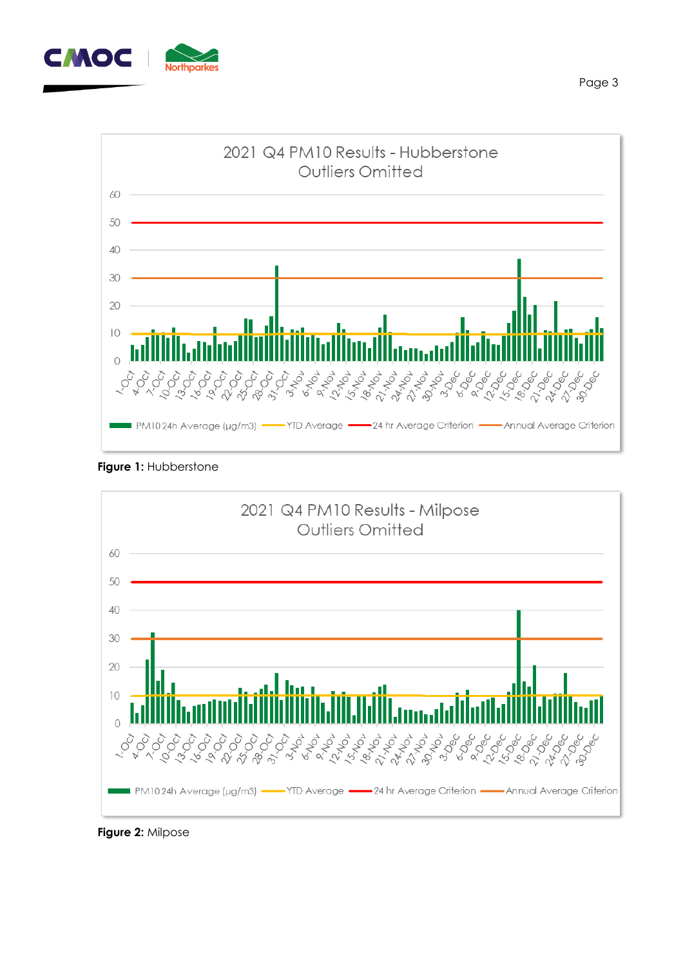



**Figure 1: Hubberstone** 



**Figure 2:** Milpose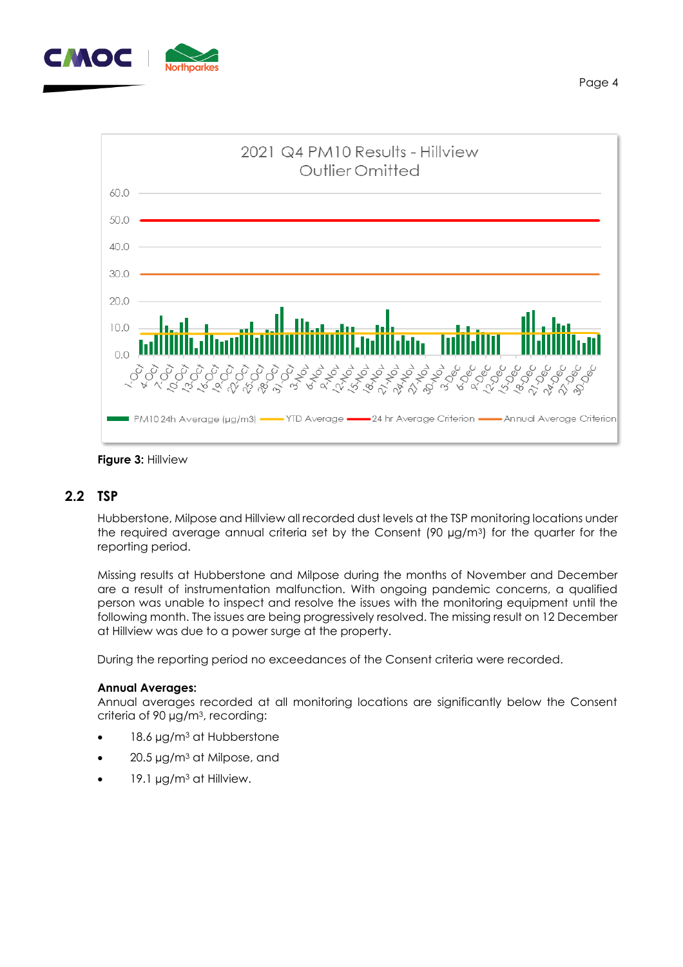



**Figure 3:** Hillview

#### **2.2 TSP**

Hubberstone, Milpose and Hillview all recorded dust levels at the TSP monitoring locations under the required average annual criteria set by the Consent (90 µg/m3) for the quarter for the reporting period.

Missing results at Hubberstone and Milpose during the months of November and December are a result of instrumentation malfunction. With ongoing pandemic concerns, a qualified person was unable to inspect and resolve the issues with the monitoring equipment until the following month. The issues are being progressively resolved. The missing result on 12 December at Hillview was due to a power surge at the property.

During the reporting period no exceedances of the Consent criteria were recorded.

#### **Annual Averages:**

Annual averages recorded at all monitoring locations are significantly below the Consent criteria of 90 µg/m3, recording:

- 18.6 µg/m<sup>3</sup> at Hubberstone
- $20.5 \mu g/m<sup>3</sup>$  at Milpose, and
- 19.1  $\mu$ g/m<sup>3</sup> at Hillview.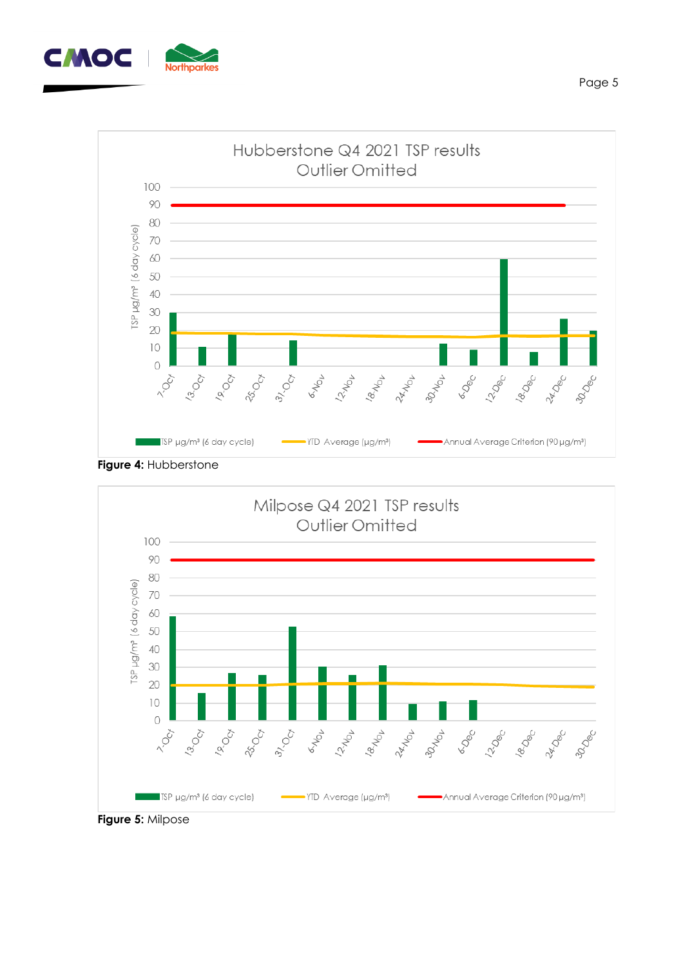



**Figure 4:** Hubberstone

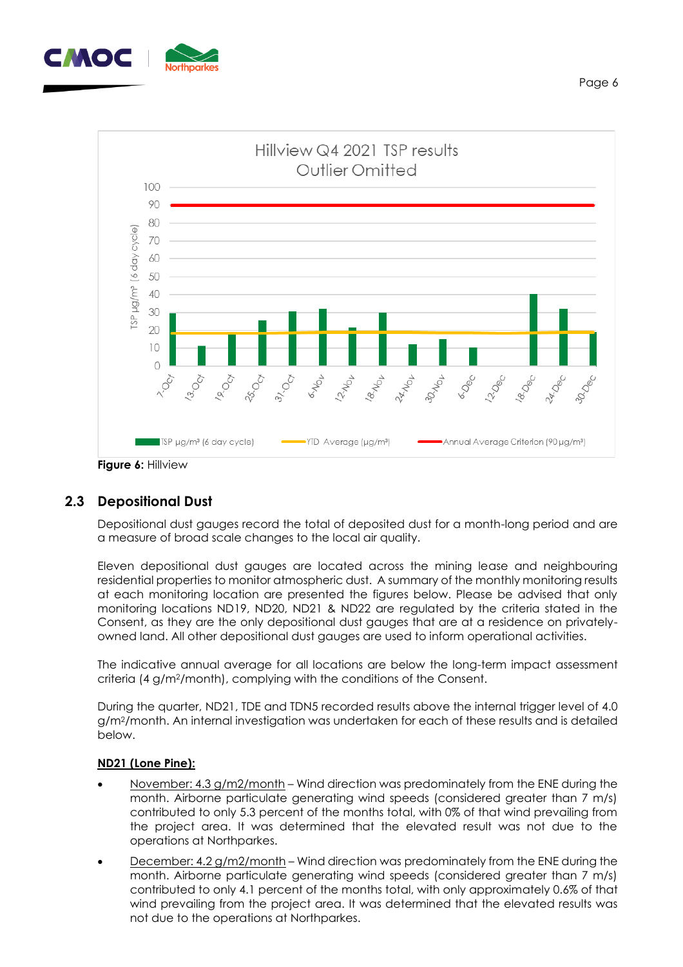



#### **2.3 Depositional Dust**

Depositional dust gauges record the total of deposited dust for a month-long period and are a measure of broad scale changes to the local air quality.

Eleven depositional dust gauges are located across the mining lease and neighbouring residential properties to monitor atmospheric dust. A summary of the monthly monitoring results at each monitoring location are presented the figures below. Please be advised that only monitoring locations ND19, ND20, ND21 & ND22 are regulated by the criteria stated in the Consent, as they are the only depositional dust gauges that are at a residence on privatelyowned land. All other depositional dust gauges are used to inform operational activities.

The indicative annual average for all locations are below the long-term impact assessment criteria (4 g/m2/month), complying with the conditions of the Consent.

During the quarter, ND21, TDE and TDN5 recorded results above the internal trigger level of 4.0 g/m2/month. An internal investigation was undertaken for each of these results and is detailed below.

#### **ND21 (Lone Pine):**

- November: 4.3 g/m2/month Wind direction was predominately from the ENE during the month. Airborne particulate generating wind speeds (considered greater than 7 m/s) contributed to only 5.3 percent of the months total, with 0% of that wind prevailing from the project area. It was determined that the elevated result was not due to the operations at Northparkes.
- December: 4.2 g/m2/month Wind direction was predominately from the ENE during the month. Airborne particulate generating wind speeds (considered greater than 7 m/s) contributed to only 4.1 percent of the months total, with only approximately 0.6% of that wind prevailing from the project area. It was determined that the elevated results was not due to the operations at Northparkes.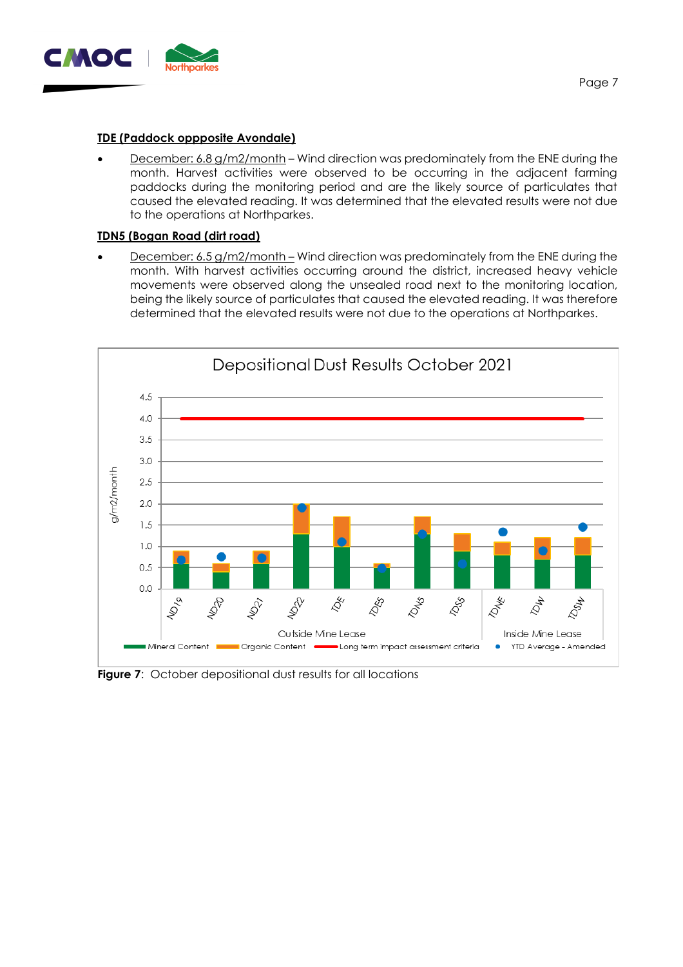

#### **TDE (Paddock oppposite Avondale)**

**December: 6.8 g/m2/month** – Wind direction was predominately from the ENE during the month. Harvest activities were observed to be occurring in the adjacent farming paddocks during the monitoring period and are the likely source of particulates that caused the elevated reading. It was determined that the elevated results were not due to the operations at Northparkes.

#### **TDN5 (Bogan Road (dirt road)**

December: 6.5 g/m2/month – Wind direction was predominately from the ENE during the month. With harvest activities occurring around the district, increased heavy vehicle movements were observed along the unsealed road next to the monitoring location, being the likely source of particulates that caused the elevated reading. It was therefore determined that the elevated results were not due to the operations at Northparkes.



**Figure 7:** October depositional dust results for all locations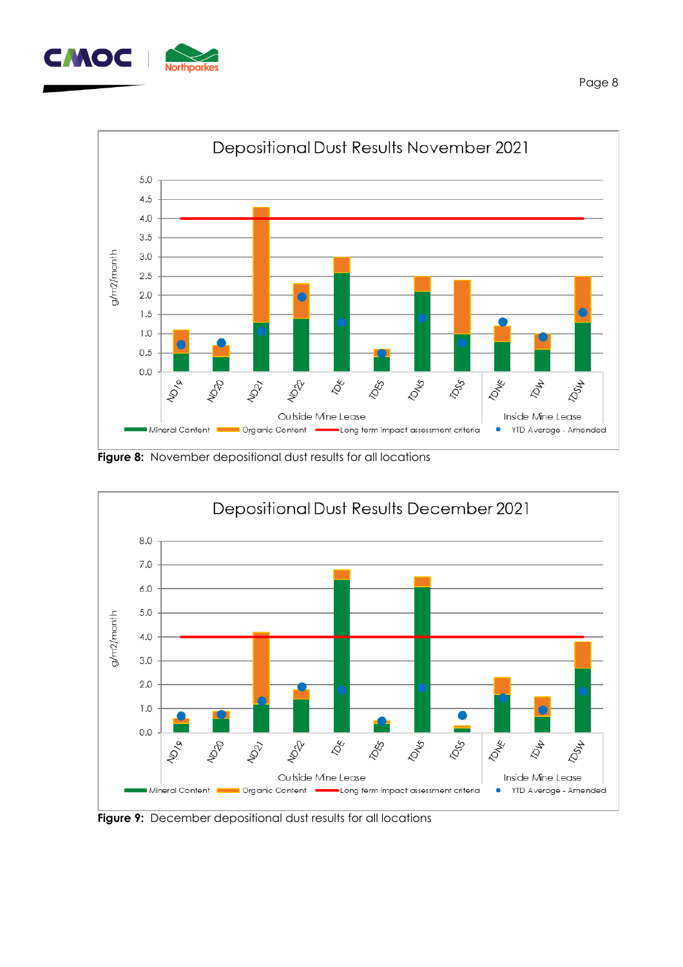



**Figure 8:** November depositional dust results for all locations



**Figure 9:** December depositional dust results for all locations

Page 8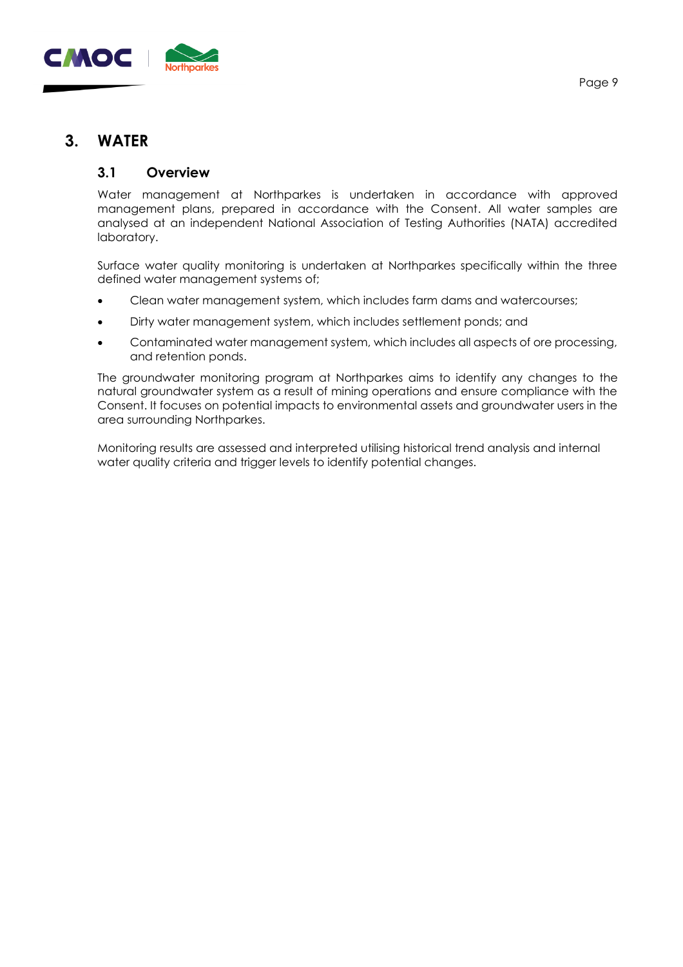

## **3. WATER**

#### **3.1 Overview**

Water management at Northparkes is undertaken in accordance with approved management plans, prepared in accordance with the Consent. All water samples are analysed at an independent National Association of Testing Authorities (NATA) accredited laboratory.

Surface water quality monitoring is undertaken at Northparkes specifically within the three defined water management systems of;

- Clean water management system, which includes farm dams and watercourses;
- Dirty water management system, which includes settlement ponds; and
- Contaminated water management system, which includes all aspects of ore processing, and retention ponds.

The groundwater monitoring program at Northparkes aims to identify any changes to the natural groundwater system as a result of mining operations and ensure compliance with the Consent. It focuses on potential impacts to environmental assets and groundwater users in the area surrounding Northparkes.

Monitoring results are assessed and interpreted utilising historical trend analysis and internal water quality criteria and trigger levels to identify potential changes.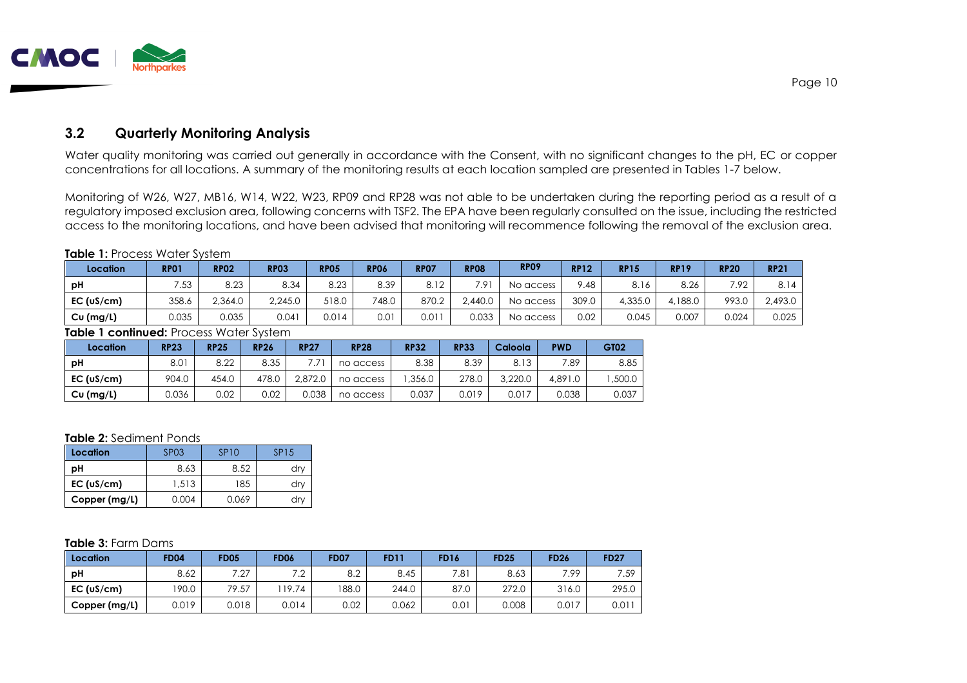

### **3.2 Quarterly Monitoring Analysis**

Water quality monitoring was carried out generally in accordance with the Consent, with no significant changes to the pH, EC or copper concentrations for all locations. A summary of the monitoring results at each location sampled are presented in Tables 1-7 below.

Monitoring of W26, W27, MB16, W14, W22, W23, RP09 and RP28 was not able to be undertaken during the reporting period as a result of a regulatory imposed exclusion area, following concerns with TSF2. The EPA have been regularly consulted on the issue, including the restricted access to the monitoring locations, and have been advised that monitoring will recommence following the removal of the exclusion area.

#### **Table 1: Process Water System**

| Location   | <b>RP01</b> | <b>RP02</b>   | <b>RP03</b> | <b>RP05</b> | <b>RP06</b> | <b>RP07</b> | <b>RP08</b>   | <b>RP09</b> | <b>RP12</b> | <b>RP15</b> | <b>RP19</b> | <b>RP20</b> | <b>RP21</b> |
|------------|-------------|---------------|-------------|-------------|-------------|-------------|---------------|-------------|-------------|-------------|-------------|-------------|-------------|
| рH         | 752.<br>ں   | 8.23          | 8.34        | 8.23        | 8.39        | 8.12        | $7.9^{\circ}$ | No access   | 9.48        |             | 8.26        | 7.92        | 8.14        |
| EC (uS/cm) | 358.6       | 2,364.0       | 2,245.0     | 518.0       | 748.0       | 870.2       | 2,440.0       | No access   | 309.0       | 4,335.0     | 4,188.0     | 993.0       | 2,493.0     |
| Cu (mg/L)  | 0.035       | א הח<br>U.UJJ | 0.041       | 0.014       | 0.01        | 0.011       | 0.033         | No access   | 0.02        | 0.045       | 0.007       | 0.024       | 0.025       |

#### **Table 1 continued:** Process Water System

| Location   | <b>RP23</b> | <b>RP25</b> | <b>RP26</b> | <b>RP27</b> | <b>RP28</b> | <b>RP32</b> | <b>RP33</b> | Caloola | <b>PWD</b> | GT02   |
|------------|-------------|-------------|-------------|-------------|-------------|-------------|-------------|---------|------------|--------|
| рH         | 8.01        | 8.22        | 8.35        |             | no access   | 8.38        | 8.39        | 8.13    | 7.89       | 8.85   |
| EC (uS/cm) | 904.0       | 454.0       | 478.0       | 2.872.0     | no access   | ,356.0      | 278.0       | 3,220.0 | 4,891.0    | ,500.0 |
| Cu (mg/L)  | 0.036       | 0.02        | 0.02        | 0.038       | no access   | 0.037       | 0.019       | 0.017   | 0.038      | 0.037  |

#### **Table 2:** Sediment Ponds

| Location      | SP <sub>0</sub> 3 | SP <sub>10</sub> | SP15 |
|---------------|-------------------|------------------|------|
| рH            | 8.63              | 8.52             | dry  |
| EC (uS/cm)    | 1.513             | 185              | drv  |
| Copper (mg/L) | 0.004             | 0.069            | dry  |

#### **Table 3:** Farm Dams

| Location      | <b>FD04</b> | <b>FD05</b>   | <b>FD06</b>                  | <b>FD07</b> | <b>FD11</b> | <b>FD16</b> | <b>FD25</b> | <b>FD26</b> | <b>FD27</b> |
|---------------|-------------|---------------|------------------------------|-------------|-------------|-------------|-------------|-------------|-------------|
| рH            | 8.62        | 7 07<br>، ک   | 7 <sub>0</sub><br>. <u>.</u> | 8.2         | 8.45        | 7.81        | 8.63        | 7.99        | 7.59        |
| EC (uS/cm)    | 190.0       | 79 57<br>ن. ⁄ | 19.74                        | 188.0       | 244.0       | 87.0        | 272.0       | 316.0       | 295.0       |
| Copper (mg/L) | 0.019       | 0.018         | 0.014                        | 0.02        | 0.062       | 0.01        | 0.008       | 0.017       | 0.011       |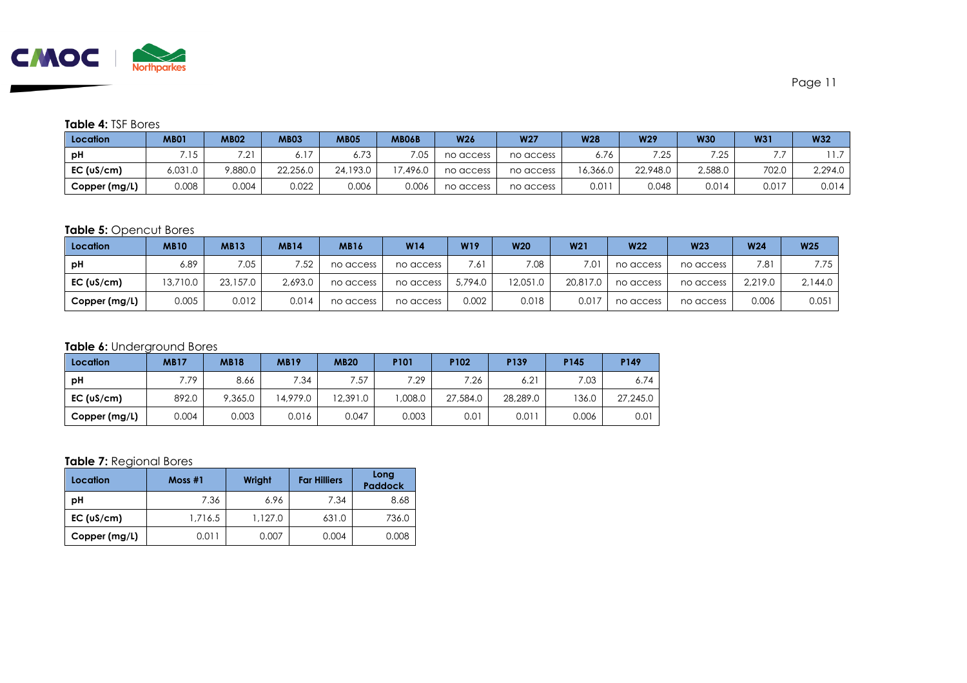

#### **Table 4:** TSF Bores

| Location      | <b>MB01</b> | <b>MB02</b>    | MB03           | <b>MB05</b> | <b>MB06B</b> | <b>W26</b> | <b>W27</b> | <b>W28</b> | W29      | <b>W30</b>  | <b>W31</b> | <b>W32</b> |
|---------------|-------------|----------------|----------------|-------------|--------------|------------|------------|------------|----------|-------------|------------|------------|
| рH            | .15         | 701<br>٠Ž.     | 0. I           | 72<br>0./J  | 7.05         | no access  | no access  | 0.70       | フつち      | 7.05<br>ے ۔ |            |            |
| EC (uS/cm)    | 6,031.0     | <b>7,880.0</b> | 22,256.0       | 24,193.0    | 7.496.0      | no access  | no access  | 16,366.0   | 22,948.0 | 2,588.0     | 702.0      | 2,294.0    |
| Copper (mg/L) | $800.\%$    | 0.004          | 0.000<br>U.UZZ | 0.006       | 0.006        | no access  | no access  | 0.011      | 0.048    | 0.014       | 0.017      | 0.014      |

#### **Table 5:** Opencut Bores

| Location      | <b>MB10</b> | <b>MB13</b> | <b>MB14</b> | <b>MB16</b> | W14       | W19     | <b>W20</b> | W <sub>21</sub> | <b>W22</b> | <b>W23</b> | <b>W24</b> | W <sub>25</sub> |
|---------------|-------------|-------------|-------------|-------------|-----------|---------|------------|-----------------|------------|------------|------------|-----------------|
| рH            | 6.89        | 7.05        | 7.52        | no access   | no access | .61     | 7.08       | 7.01            | no access  | no access  | 7.81       | 7.75            |
| EC (uS/cm)    | 3.710.0     | 23,157.0    | 2.693.0     | no access   | no access | 5,794.0 | 12.051.0   | 20,817.0        | no access  | no access  | 2.219.0    | 2.144.0         |
| Copper (mg/L) | 0.005       | 0.012       | 0.014       | no access   | no access | 0.002   | 0.018      | 0.017           | no access  | no access  | 0.006      | 0.051           |

#### **Table 6:** Underground Bores

| Location      | <b>MB17</b> | <b>MB18</b> | <b>MB19</b> | <b>MB20</b> | P101   | P <sub>102</sub> | P139             | P145  | P149     |
|---------------|-------------|-------------|-------------|-------------|--------|------------------|------------------|-------|----------|
| рH            | .79         | 8.66        | 7.34        | 7.57        | 7.29   | 7.26             | 6.2 <sup>1</sup> | 7.03  | 6.74     |
| EC (uS/cm)    | 892.0       | 9,365.0     | 14.979.0    | 12,391.0    | .008.0 | 27,584.0         | 28,289.0         | 136.0 | 27,245.0 |
| Copper (mg/L) | 0.004       | 0.003       | 0.016       | 0.047       | 0.003  | 0.01             | 0.01             | 0.006 | 0.01     |

#### **Table 7:** Regional Bores

| Location      | Most#1  | Wright  | <b>Far Hilliers</b> | Long<br><b>Paddock</b> |
|---------------|---------|---------|---------------------|------------------------|
| pH            | 7.36    | 6.96    | 7.34                | 8.68                   |
| EC (uS/cm)    | 1.716.5 | 1.127.0 | 631.0               | 736.0                  |
| Copper (mg/L) | 0.011   | 0.007   | 0.004               | 0.008                  |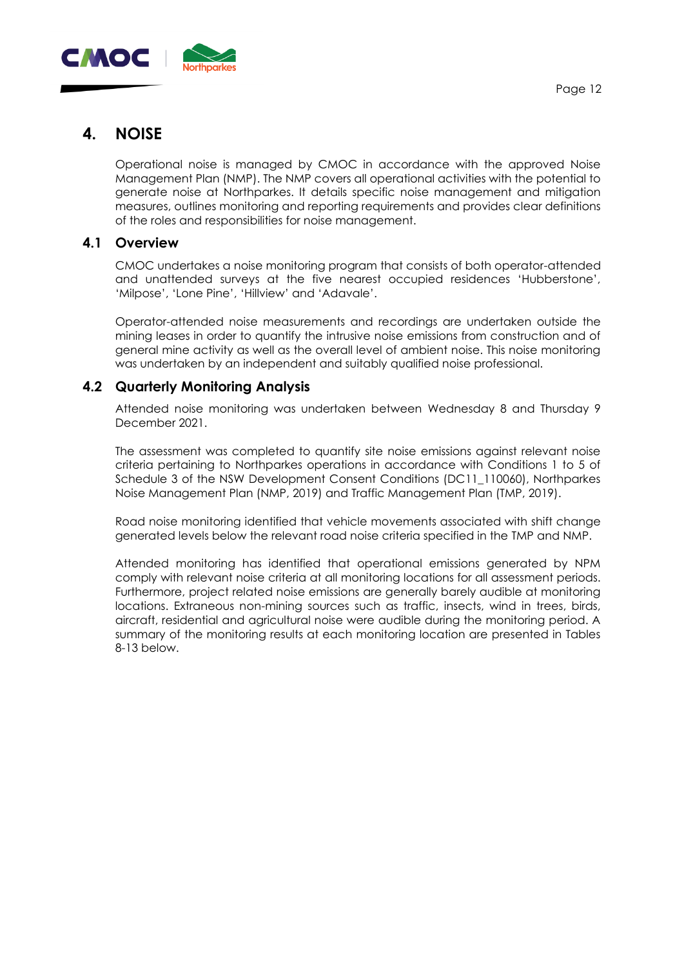

# **4. NOISE**

Operational noise is managed by CMOC in accordance with the approved Noise Management Plan (NMP). The NMP covers all operational activities with the potential to generate noise at Northparkes. It details specific noise management and mitigation measures, outlines monitoring and reporting requirements and provides clear definitions of the roles and responsibilities for noise management.

#### **4.1 Overview**

CMOC undertakes a noise monitoring program that consists of both operator-attended and unattended surveys at the five nearest occupied residences 'Hubberstone', 'Milpose', 'Lone Pine', 'Hillview' and 'Adavale'.

Operator-attended noise measurements and recordings are undertaken outside the mining leases in order to quantify the intrusive noise emissions from construction and of general mine activity as well as the overall level of ambient noise. This noise monitoring was undertaken by an independent and suitably qualified noise professional.

#### **4.2 Quarterly Monitoring Analysis**

Attended noise monitoring was undertaken between Wednesday 8 and Thursday 9 December 2021.

The assessment was completed to quantify site noise emissions against relevant noise criteria pertaining to Northparkes operations in accordance with Conditions 1 to 5 of Schedule 3 of the NSW Development Consent Conditions (DC11\_110060), Northparkes Noise Management Plan (NMP, 2019) and Traffic Management Plan (TMP, 2019).

Road noise monitoring identified that vehicle movements associated with shift change generated levels below the relevant road noise criteria specified in the TMP and NMP.

Attended monitoring has identified that operational emissions generated by NPM comply with relevant noise criteria at all monitoring locations for all assessment periods. Furthermore, project related noise emissions are generally barely audible at monitoring locations. Extraneous non-mining sources such as traffic, insects, wind in trees, birds, aircraft, residential and agricultural noise were audible during the monitoring period. A summary of the monitoring results at each monitoring location are presented in Tables 8-13 below.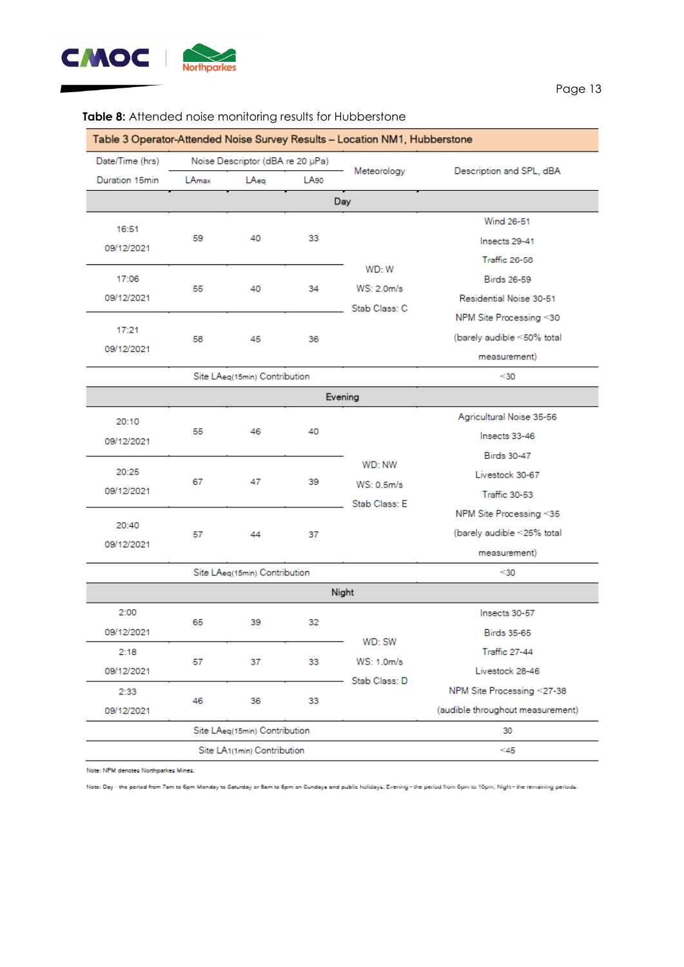

|                 |                               |                                          |      | Table 3 Operator-Attended Noise Survey Results - Location NM1, Hubberstone |                                  |  |                        |                    |  |
|-----------------|-------------------------------|------------------------------------------|------|----------------------------------------------------------------------------|----------------------------------|--|------------------------|--------------------|--|
| Date/Time (hrs) |                               | Noise Descriptor (dBA re 20 µPa)         |      | Meteorology                                                                | Description and SPL, dBA         |  |                        |                    |  |
| Duration 15min  | LAmax                         | LAeg                                     | LA90 |                                                                            |                                  |  |                        |                    |  |
|                 |                               |                                          |      | Day                                                                        |                                  |  |                        |                    |  |
| 16:51           |                               |                                          |      |                                                                            | Wind 26-51                       |  |                        |                    |  |
| 09/12/2021      | 59                            | 40                                       | 33   |                                                                            | Insects 29-41                    |  |                        |                    |  |
|                 |                               |                                          |      | WD: W                                                                      | Traffic 26-58                    |  |                        |                    |  |
| 17:06           | 55                            | 40                                       | 34   |                                                                            |                                  |  | WS: 2.0 <sub>m/s</sub> | <b>Birds 26-59</b> |  |
| 09/12/2021      |                               |                                          |      | Stab Class: C                                                              | Residential Noise 30-51          |  |                        |                    |  |
|                 |                               |                                          |      |                                                                            | NPM Site Processing <30          |  |                        |                    |  |
| 17:21           | 58                            | 45                                       | 36   |                                                                            | (barely audible <50% total       |  |                        |                    |  |
| 09/12/2021      |                               |                                          |      |                                                                            | measurement)                     |  |                        |                    |  |
|                 |                               | Site LAeq(15min) Contribution            |      |                                                                            | $30$                             |  |                        |                    |  |
| Evening         |                               |                                          |      |                                                                            |                                  |  |                        |                    |  |
| 20:10           |                               |                                          |      |                                                                            | Agricultural Noise 35-56         |  |                        |                    |  |
| 09/12/2021      | 55                            | 46                                       | 40   |                                                                            | Insects 33-46                    |  |                        |                    |  |
|                 |                               |                                          |      | WD: NW                                                                     | <b>Birds 30-47</b>               |  |                        |                    |  |
| 20:25           | 67                            | 47                                       | 39   | WS: 0.5m/s                                                                 | Livestock 30-67                  |  |                        |                    |  |
| 09/12/2021      |                               |                                          |      | Stab Class: E                                                              | Traffic 30-53                    |  |                        |                    |  |
|                 |                               |                                          |      |                                                                            | NPM Site Processing <35          |  |                        |                    |  |
| 20:40           | 57                            | 44                                       | 37   |                                                                            | (barely audible <25% total       |  |                        |                    |  |
| 09/12/2021      |                               |                                          |      |                                                                            | measurement)                     |  |                        |                    |  |
|                 |                               | Site LAeq(15min) Contribution            |      |                                                                            | $30$                             |  |                        |                    |  |
|                 |                               |                                          |      | Night                                                                      |                                  |  |                        |                    |  |
| 2:00            |                               |                                          |      |                                                                            | Insects 30-57                    |  |                        |                    |  |
| 09/12/2021      | 65                            | 39                                       | 32   |                                                                            | <b>Birds 35-65</b>               |  |                        |                    |  |
| 2:18            |                               |                                          |      | WD: SW                                                                     | Traffic 27-44                    |  |                        |                    |  |
| 09/12/2021      | 57                            | 37                                       | 33   | WS: 1.0m/s                                                                 | Livestock 28-46                  |  |                        |                    |  |
| 2:33            |                               |                                          |      | Stab Class: D                                                              | NPM Site Processing <27-38       |  |                        |                    |  |
| 09/12/2021      | 46                            | 36                                       | 33   |                                                                            | (audible throughout measurement) |  |                        |                    |  |
|                 | Site LAeq(15min) Contribution |                                          | 30   |                                                                            |                                  |  |                        |                    |  |
|                 |                               | Site LA <sub>1</sub> (1min) Contribution |      |                                                                            | ≤45                              |  |                        |                    |  |

#### **Table 8:** Attended noise monitoring results for Hubberstone

Note: NPM denotes Northparkes Mines.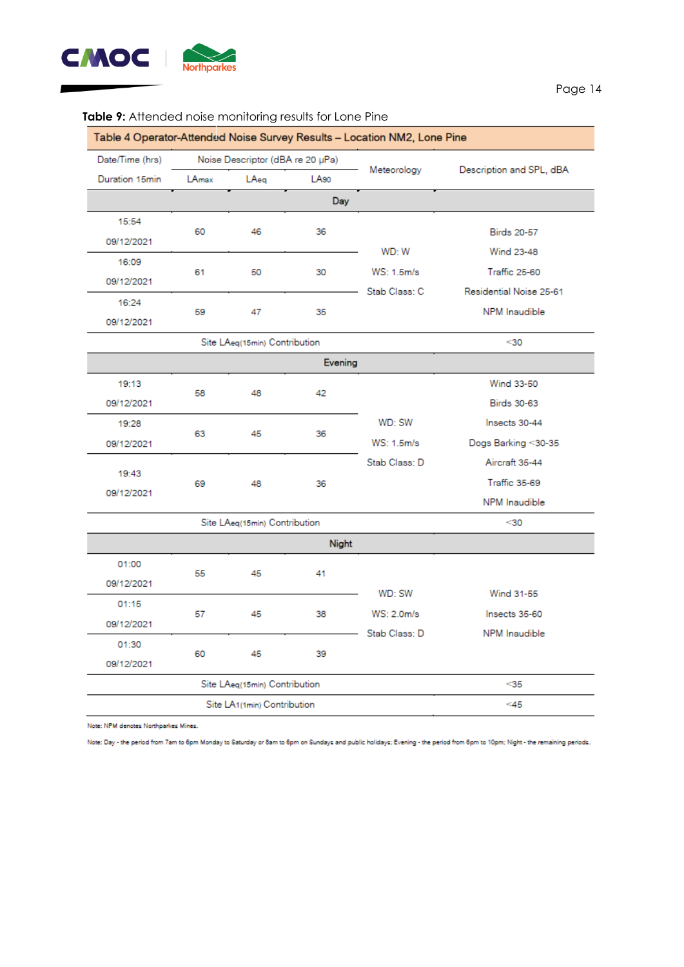

#### Table 4 Operator-Attended Noise Survey Results - Location NM2, Lone Pine Date/Time (hrs) Noise Descriptor (dBA re 20 µPa) Description and SPL, dBA Meteorology LA<sub>90</sub> Duration 15min LAmax LAeg Day 15:54 60 46 36 **Birds 20-57** 09/12/2021 WD: W **Wind 23-48** 16:09 50  $30<sup>2</sup>$ WS: 1.5m/s **Traffic 25-60** 61 09/12/2021 Residential Noise 25-61 Stab Class: C 16:24 NPM Inaudible 59 47 35 09/12/2021 Site LAeg(15min) Contribution  $<sub>30</sub>$ </sub> Evening 19:13 Wind 33-50 58 48 42 09/12/2021 **Birds 30-63** WD: SW Insects 30-44 19:28 63 45 36 WS: 1.5m/s Dogs Barking <30-35 09/12/2021 Stab Class: D Aircraft 35-44 19:43 Traffic 35-69 69 48 36 09/12/2021

#### **Table 9:** Attended noise monitoring results for Lone Pine

NPM Inaudible Site LAeg(15min) Contribution  $<sub>30</sub>$ </sub> Night 01:00 55 45 41 09/12/2021 WD: SW **Wind 31-55** 01:15 57 45 WS: 2.0m/s Insects 35-60 38 09/12/2021 Stab Class: D NPM Inaudible 01:30 60 45 39 09/12/2021 Site LAeq(15min) Contribution  $<sub>35</sub>$ </sub>  $45$ Site LA1(1min) Contribution

Note: NPM denotes Northparkes Mines.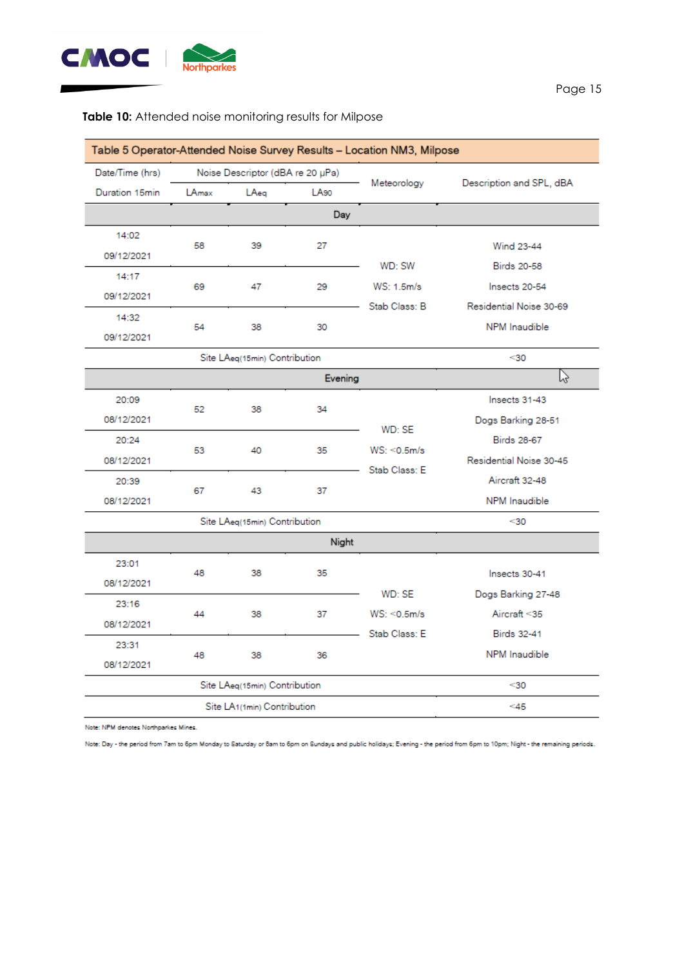

#### Table 5 Operator-Attended Noise Survey Results - Location NM3, Milpose Date/Time (hrs) Noise Descriptor (dBA re 20 µPa) Description and SPL, dBA Meteorology LA<sub>90</sub> Duration 15min LAmax LAeg Day 14:02 58 39 27 **Wind 23-44** 09/12/2021 WD: SW **Birds 20-58** 14:17 69 47 29 WS: 1.5m/s Insects 20-54 09/12/2021 Stab Class: B Residential Noise 30-69 14:32 54 38 30 **NPM** Inaudible 09/12/2021 Site LAeq(15min) Contribution  $<sub>30</sub>$ </sub> ド Evening 20:09 Insects 31-43 52 38 34 08/12/2021 Dogs Barking 28-51 WD: SE **Birds 28-67** 20:24 40 35  $WS: <0.5m/s$ 53 08/12/2021 Residential Noise 30-45 Stab Class: E Aircraft 32-48 20:39 67 43 37 NPM Inaudible 08/12/2021 Site LAeq(15min) Contribution  $<sub>30</sub>$ </sub> Night 23:01 48 38 35 Insects 30-41 08/12/2021 WD: SE Dogs Barking 27-48 23:16  $WS: <0.5m/s$ Aircraft <35 44 38 37 08/12/2021 Stab Class: E **Birds 32-41** 23:31 NPM Inaudible 48 38 36 08/12/2021 Site LAeq(15min) Contribution  $<sub>30</sub>$ </sub> Site LA1(1min) Contribution  $<45$

#### **Table 10:** Attended noise monitoring results for Milpose

Note: NPM denotes Northparkes Mines.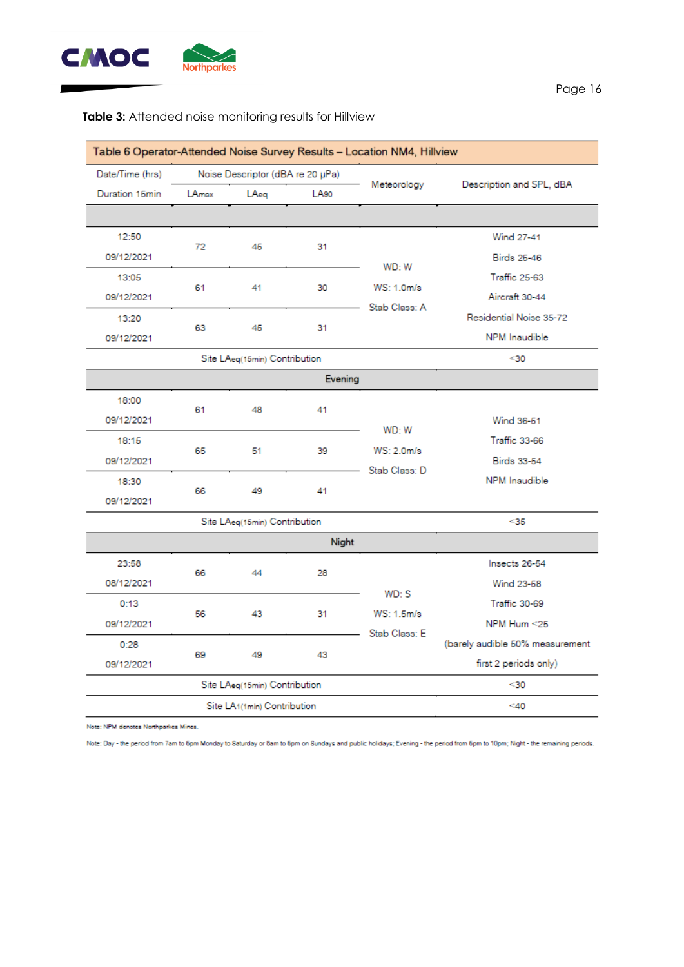

### **Table 3:** Attended noise monitoring results for Hillview

|                 |                               |                                  |                  | Table 6 Operator-Attended Noise Survey Results - Location NM4, Hillview |                                 |
|-----------------|-------------------------------|----------------------------------|------------------|-------------------------------------------------------------------------|---------------------------------|
| Date/Time (hrs) |                               | Noise Descriptor (dBA re 20 µPa) |                  | Meteorology                                                             | Description and SPL, dBA        |
| Duration 15min  | LAmax                         | LAea                             | LA <sub>90</sub> |                                                                         |                                 |
|                 |                               |                                  |                  |                                                                         |                                 |
| 12:50           | 72                            | 45                               | 31               |                                                                         | <b>Wind 27-41</b>               |
| 09/12/2021      |                               |                                  |                  | WD: W                                                                   | <b>Birds 25-46</b>              |
| 13:05           | 61                            | 41                               | 30               | WS: 1.0 <sub>m/s</sub>                                                  | <b>Traffic 25-63</b>            |
| 09/12/2021      |                               |                                  |                  | Stab Class: A                                                           | Aircraft 30-44                  |
| 13:20           | 63                            | 45                               | 31               |                                                                         | Residential Noise 35-72         |
| 09/12/2021      |                               |                                  |                  |                                                                         | NPM Inaudible                   |
|                 |                               | Site LAeg(15min) Contribution    |                  |                                                                         | $30$                            |
|                 |                               |                                  | Evening          |                                                                         |                                 |
| 18:00           | 61                            | 48                               | 41               |                                                                         |                                 |
| 09/12/2021      |                               |                                  |                  | WD: W                                                                   | Wind 36-51                      |
| 18:15           | 65                            | 51                               | 39               | WS: 2.0m/s                                                              | <b>Traffic 33-66</b>            |
| 09/12/2021      |                               |                                  |                  | Stab Class: D                                                           | <b>Birds 33-54</b>              |
| 18:30           | 66                            | 49                               | 41               |                                                                         | <b>NPM</b> Inaudible            |
| 09/12/2021      |                               |                                  |                  |                                                                         |                                 |
|                 |                               | Site LAeq(15min) Contribution    |                  |                                                                         | $35$                            |
|                 |                               |                                  | Night            |                                                                         |                                 |
| 23:58           | 66                            | 44                               | 28               |                                                                         | Insects 26-54                   |
| 08/12/2021      |                               |                                  |                  | WD:S                                                                    | Wind 23-58                      |
| 0:13            | 56                            | 43                               | 31               | WS: 1.5m/s                                                              | Traffic 30-69                   |
| 09/12/2021      |                               |                                  |                  | Stab Class: E                                                           | NPM Hum <25                     |
| 0:28            |                               |                                  |                  |                                                                         | (barely audible 50% measurement |
| 09/12/2021      | 69<br>49<br>43                |                                  |                  |                                                                         | first 2 periods only)           |
|                 | Site LAeq(15min) Contribution | $30$                             |                  |                                                                         |                                 |
|                 | Site LA1(1min) Contribution   | $<$ 40                           |                  |                                                                         |                                 |

Note: NPM denotes Northparkes Mines.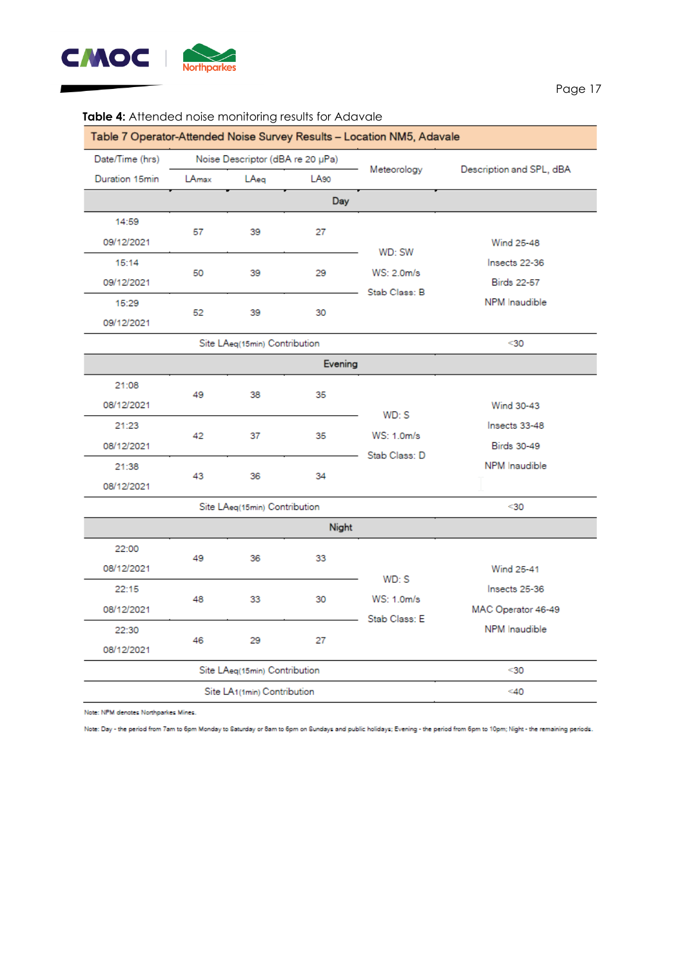

| Table 7 Operator-Attended Noise Survey Results - Location NM5, Adavale |                                          |                                  |      |                                        |                                                                           |  |  |  |
|------------------------------------------------------------------------|------------------------------------------|----------------------------------|------|----------------------------------------|---------------------------------------------------------------------------|--|--|--|
| Date/Time (hrs)                                                        |                                          | Noise Descriptor (dBA re 20 µPa) |      |                                        | Description and SPL, dBA                                                  |  |  |  |
| Duration 15min                                                         | LAmax                                    | LAeg                             | LA90 | Meteorology                            |                                                                           |  |  |  |
| Day                                                                    |                                          |                                  |      |                                        |                                                                           |  |  |  |
| 14:59<br>09/12/2021                                                    | 57                                       | 39                               | 27   | WD: SW<br>WS: 2.0m/s<br>Stab Class: B  | Wind 25-48<br>Insects 22-36<br><b>Birds 22-57</b><br><b>NPM</b> Inaudible |  |  |  |
| 15:14<br>09/12/2021                                                    | 50                                       | 39                               | 29   |                                        |                                                                           |  |  |  |
| 15:29<br>09/12/2021                                                    | 52                                       | 39                               | 30   |                                        |                                                                           |  |  |  |
|                                                                        | Site LAeq(15min) Contribution            |                                  | $30$ |                                        |                                                                           |  |  |  |
| Evening                                                                |                                          |                                  |      |                                        |                                                                           |  |  |  |
| 21:08<br>08/12/2021                                                    | 49                                       | 38                               | 35   | $WD:$ S                                | Wind 30-43<br>Insects 33-48<br><b>Birds 30-49</b><br><b>NPM</b> Inaudible |  |  |  |
| 21:23<br>08/12/2021                                                    | 42                                       | 37                               | 35   | WS: 1.0m/s<br>Stab Class: D            |                                                                           |  |  |  |
| 21:38<br>08/12/2021                                                    | 43                                       | 36                               | 34   |                                        |                                                                           |  |  |  |
|                                                                        | Site LAeq(15min) Contribution            | $30$                             |      |                                        |                                                                           |  |  |  |
| Night                                                                  |                                          |                                  |      |                                        |                                                                           |  |  |  |
| 22:00<br>08/12/2021                                                    | 49                                       | 36                               | 33   |                                        | Wind 25-41                                                                |  |  |  |
| 22:15<br>08/12/2021                                                    | 48                                       | 33                               | 30   | $WD:$ S<br>WS: 1.0m/s<br>Stab Class: E | Insects 25-36<br>MAC Operator 46-49                                       |  |  |  |
| 22:30<br>08/12/2021                                                    | 46                                       | 29                               | 27   |                                        | NPM Inaudible                                                             |  |  |  |
|                                                                        | Site LAeq(15min) Contribution            | $30$                             |      |                                        |                                                                           |  |  |  |
|                                                                        | Site LA <sub>1</sub> (1min) Contribution | $<$ 40                           |      |                                        |                                                                           |  |  |  |

#### **Table 4:** Attended noise monitoring results for Adavale

Note: NPM denotes Northparkes Mines.